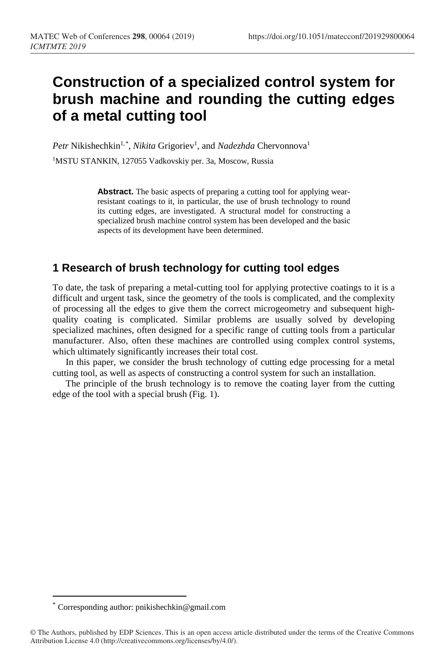# **Construction of a specialized control system for brush machine and rounding the cutting edges of a metal cutting tool**

Petr Nikishechkin<sup>1,\*</sup>, *Nikita* Grigoriev<sup>1</sup>, and *Nadezhda* Chervonnova<sup>1</sup> <sup>1</sup>MSTU STANKIN, 127055 Vadkovskiy per. 3a, Moscow, Russia

> **Abstra[c](#page-0-0)t.** The basic aspects of preparing a cutting tool for applying wearresistant coatings to it, in particular, the use of brush technology to round its cutting edges, are investigated. A structural model for constructing a specialized brush machine control system has been developed and the basic aspects of its development have been determined.

# **1 Research of brush technology for cutting tool edges**

To date, the task of preparing a metal-cutting tool for applying protective coatings to it is a difficult and urgent task, since the geometry of the tools is complicated, and the complexity of processing all the edges to give them the correct microgeometry and subsequent highquality coating is complicated. Similar problems are usually solved by developing specialized machines, often designed for a specific range of cutting tools from a particular manufacturer. Also, often these machines are controlled using complex control systems, which ultimately significantly increases their total cost.

In this paper, we consider the brush technology of cutting edge processing for a metal cutting tool, as well as aspects of constructing a control system for such an installation.

The principle of the brush technology is to remove the coating layer from the cutting edge of the tool with a special brush (Fig. 1).

 $\overline{a}$ 

<span id="page-0-0"></span>Corresponding author: pnikishechkin@gmail.com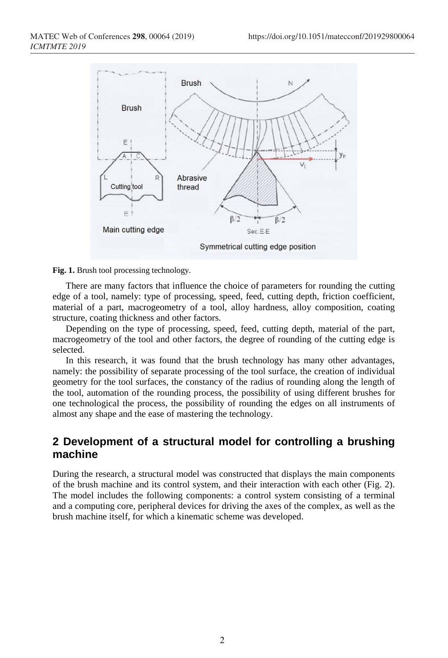

#### **Fig. 1.** Brush tool processing technology.

There are many factors that influence the choice of parameters for rounding the cutting edge of a tool, namely: type of processing, speed, feed, cutting depth, friction coefficient, material of a part, macrogeometry of a tool, alloy hardness, alloy composition, coating structure, coating thickness and other factors.

Depending on the type of processing, speed, feed, cutting depth, material of the part, macrogeometry of the tool and other factors, the degree of rounding of the cutting edge is selected.

In this research, it was found that the brush technology has many other advantages, namely: the possibility of separate processing of the tool surface, the creation of individual geometry for the tool surfaces, the constancy of the radius of rounding along the length of the tool, automation of the rounding process, the possibility of using different brushes for one technological the process, the possibility of rounding the edges on all instruments of almost any shape and the ease of mastering the technology.

#### **2 Development of a structural model for controlling a brushing machine**

During the research, a structural model was constructed that displays the main components of the brush machine and its control system, and their interaction with each other (Fig. 2). The model includes the following components: a control system consisting of a terminal and a computing core, peripheral devices for driving the axes of the complex, as well as the brush machine itself, for which a kinematic scheme was developed.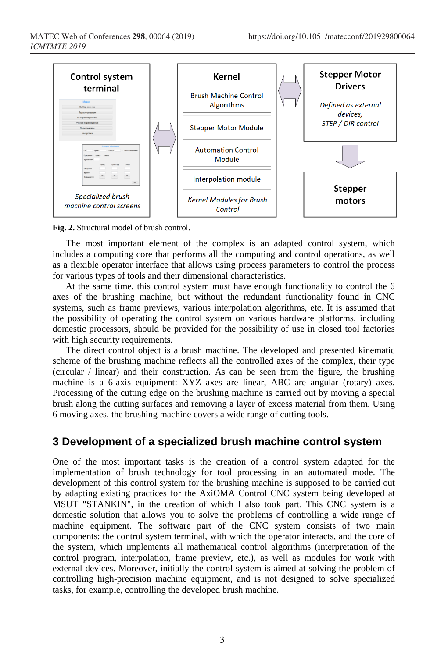

**Fig. 2.** Structural model of brush control.

The most important element of the complex is an adapted control system, which includes a computing core that performs all the computing and control operations, as well as a flexible operator interface that allows using process parameters to control the process for various types of tools and their dimensional characteristics.

At the same time, this control system must have enough functionality to control the 6 axes of the brushing machine, but without the redundant functionality found in CNC systems, such as frame previews, various interpolation algorithms, etc. It is assumed that the possibility of operating the control system on various hardware platforms, including domestic processors, should be provided for the possibility of use in closed tool factories with high security requirements.

The direct control object is a brush machine. The developed and presented kinematic scheme of the brushing machine reflects all the controlled axes of the complex, their type (circular / linear) and their construction. As can be seen from the figure, the brushing machine is a 6-axis equipment: XYZ axes are linear, ABC are angular (rotary) axes. Processing of the cutting edge on the brushing machine is carried out by moving a special brush along the cutting surfaces and removing a layer of excess material from them. Using 6 moving axes, the brushing machine covers a wide range of cutting tools.

## **3 Development of a specialized brush machine control system**

One of the most important tasks is the creation of a control system adapted for the implementation of brush technology for tool processing in an automated mode. The development of this control system for the brushing machine is supposed to be carried out by adapting existing practices for the AxiOMA Control CNC system being developed at MSUT "STANKIN", in the creation of which I also took part. This CNC system is a domestic solution that allows you to solve the problems of controlling a wide range of machine equipment. The software part of the CNC system consists of two main components: the control system terminal, with which the operator interacts, and the core of the system, which implements all mathematical control algorithms (interpretation of the control program, interpolation, frame preview, etc.), as well as modules for work with external devices. Moreover, initially the control system is aimed at solving the problem of controlling high-precision machine equipment, and is not designed to solve specialized tasks, for example, controlling the developed brush machine.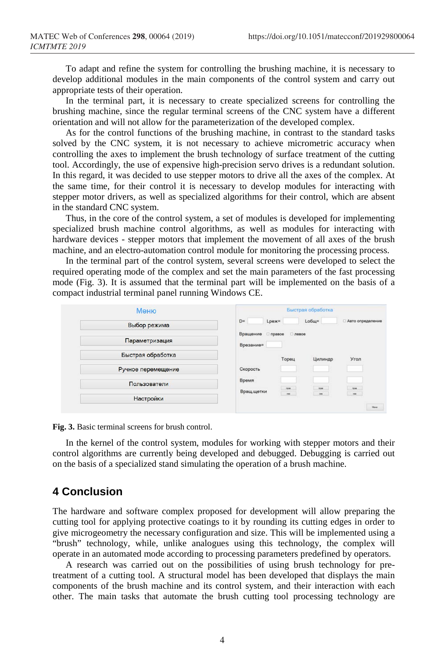To adapt and refine the system for controlling the brushing machine, it is necessary to develop additional modules in the main components of the control system and carry out appropriate tests of their operation.

In the terminal part, it is necessary to create specialized screens for controlling the brushing machine, since the regular terminal screens of the CNC system have a different orientation and will not allow for the parameterization of the developed complex.

As for the control functions of the brushing machine, in contrast to the standard tasks solved by the CNC system, it is not necessary to achieve micrometric accuracy when controlling the axes to implement the brush technology of surface treatment of the cutting tool. Accordingly, the use of expensive high-precision servo drives is a redundant solution. In this regard, it was decided to use stepper motors to drive all the axes of the complex. At the same time, for their control it is necessary to develop modules for interacting with stepper motor drivers, as well as specialized algorithms for their control, which are absent in the standard CNC system.

Thus, in the core of the control system, a set of modules is developed for implementing specialized brush machine control algorithms, as well as modules for interacting with hardware devices - stepper motors that implement the movement of all axes of the brush machine, and an electro-automation control module for monitoring the processing process.

In the terminal part of the control system, several screens were developed to select the required operating mode of the complex and set the main parameters of the fast processing mode (Fig. 3). It is assumed that the terminal part will be implemented on the basis of a compact industrial terminal panel running Windows CE.



**Fig. 3.** Basic terminal screens for brush control.

In the kernel of the control system, modules for working with stepper motors and their control algorithms are currently being developed and debugged. Debugging is carried out on the basis of a specialized stand simulating the operation of a brush machine.

#### **4 Conclusion**

The hardware and software complex proposed for development will allow preparing the cutting tool for applying protective coatings to it by rounding its cutting edges in order to give microgeometry the necessary configuration and size. This will be implemented using a "brush" technology, while, unlike analogues using this technology, the complex will operate in an automated mode according to processing parameters predefined by operators.

A research was carried out on the possibilities of using brush technology for pretreatment of a cutting tool. A structural model has been developed that displays the main components of the brush machine and its control system, and their interaction with each other. The main tasks that automate the brush cutting tool processing technology are